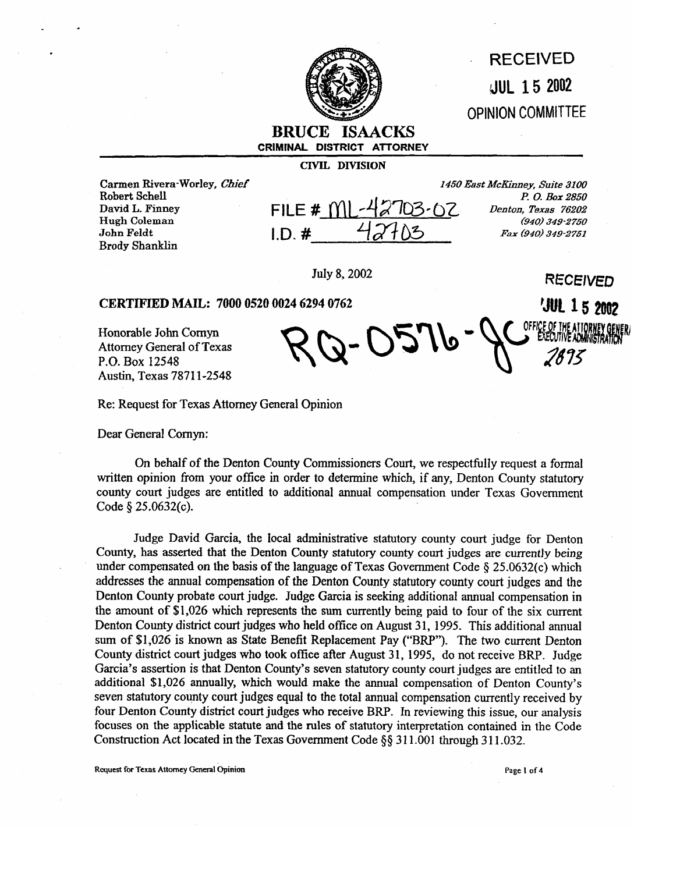

## **: RECEIVED -dUL 15 2002 OPINION COMMITTEE**

## **BRUCE ISAACKS CRIMINAL DISTRICT ATTORNEY**

**CIVIL DIVISION** 

Carmen Rivera-Worley, *Chief* Robert Schell David L. Finney Hugh Coleman John Feldt Brady Shanklin

| FILE # $M1 - 42703 - 62$<br>$(940)$ 349-2750<br>42703<br>$I.D.$ # |  | 1450 East McKinney, Suite 3100 |
|-------------------------------------------------------------------|--|--------------------------------|
|                                                                   |  | P. O. Box 2850                 |
|                                                                   |  | Denton, Texas 76202            |
|                                                                   |  |                                |
|                                                                   |  | Fax (940) 349-2751             |

2-02.1P

**RECEIVED** 

**JUL 15 2002** 

**3uly** 8,2002

## **CERTIFIED MAIL: 7000 0520 0024 6294 0762**

Honorable John Comyn Attorney General of Texas P.O. Box 12548 Austin, Texas 7871 l-2548

Re: Request for Texas Attorney General Opinion

Dear General Comyn:

On behalf of the Denton County Commissioners Court, we respectfully request a formal written opinion from your office in order to determine which, if any, Denton County statutory county court judges are entitled to additional annual compensation under Texas Government Code  $\S 25.0632(c)$ .

Judge David Garcia, the local administrative statutory county court judge for Denton County, has asserted that the Denton County statutory county court judges are currently being under compensated on the basis of the language of Texas Government Code  $\S 25.0632(c)$  which addresses the annual compensation of the Denton County statutory county court judges and the Denton County probate court judge. Judge Garcia is seeking additional annual compensation in the amount of \$1,026 which represents the sum currently being paid to four of the six current Denton County district court judges who held office on August 31, 1995. This additional annual sum of \$1,026 is known as State Benefit Replacement Pay ("BRP"). The two current Denton County district court judges who took office after August 31, 1995, do not receive BRP. Judge Garcia's assertion is that Denton County's seven statutory county court judges are entitled to an additional \$1,026 annually, which would make the annual compensation of Denton County's seven statutory county court judges equal to the total annual compensation currently received by four Denton County district court judges who receive BRP. In reviewing this issue, our analysis focuses on the applicable statute and the rules of statutory interpretation contained in the Code Construction Act located in the Texas Government Code  $\S$ § 311.001 through 311.032.

**Request for Texas Attorney General Opinion Page 1 of 4 Page 1 of 4 Page 1 of 4**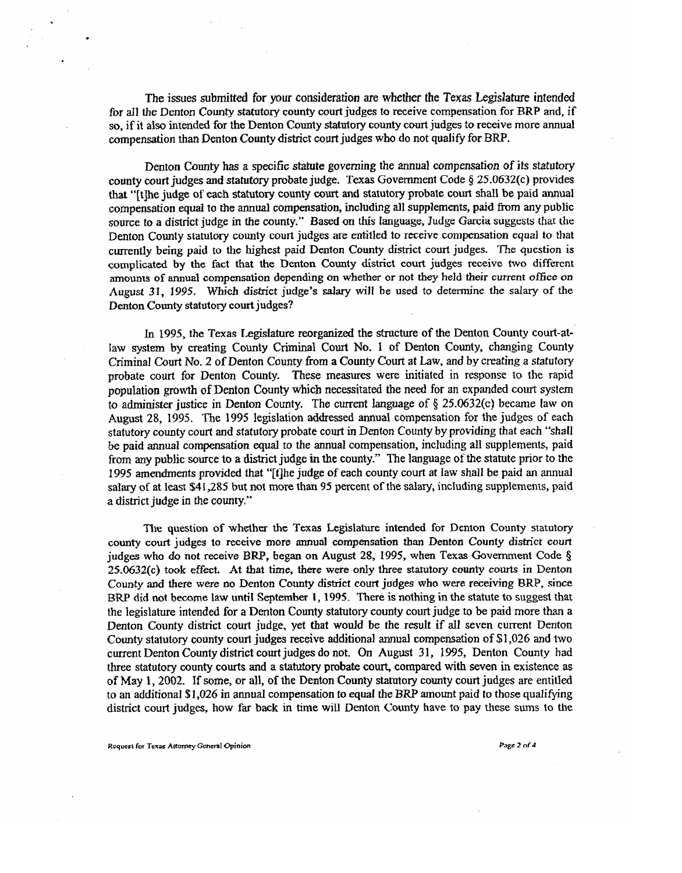The issues submitted for your consideration are n&ether the Texas **Legislature** intended for all the Denton County statutory county court judges to receive compensation for BRP and, if so, if it also intended far the Denton County statutory county court judges to **receive** more annual compensation than Denton County district court judges who do not qualify for BRP.

Denton County has a specific **statute** governing the annual compensation of its statutory **county** court judges and statutory probate judge. Texas Government Code 8 25.0632(c) provides that "It the judge of each statutory county court and statutory probate court shall be paid annual compensation equal to the annual compensation, including all supplements, paid from any public source to a district judge in the county." Based on this language, Judge Garcia suggests tbat **the**  Denton County statutory county court judges are entilled to receive compensation equal **to** *that*  currently **being** paid to the highest paid Denton County district court judges. The question is complicated by the fact that the Denton County district court judges receive two different amounts of annual compensation depending on whether or not they held their current office on August 31, 1995. Which district judge's salary will be used to determine the salary of the Denton County statutory court judges?

In 1995, the Texas Legislature reorganized the stracture of the Denton County court-at-Iaw system by creating County Criminat Court No. 1 of Denton County, changing County Criminal Court No. 2 of Denton County from a County Court at Law, and by creating a stafutory probate court for Denton County. These measures were initiated in response to the rapid population growth of Denton County which necessitated the need for an expanded court system to administer justice in Denton County. The current language of  $\S 25.0632(c)$  became law on August 28, 1995. The 1995 legislation addressed annual compensation for the judges of each statutory county court and statutory probate court in Denton County by providing that each "shall be paid annual compensation equal to the annual compensation, including all supplements, paid from any public source to a district judge in the county." The language of the statute prior to the 1995 amendments provided that "[t]he judge of each county court at law shall be paid an annual salary of at least \$41,285 but not more than 95 percent of the salary, including supplements, paid a district **judge** in the county,"

The question of whether the Texas Legislature intended for Denton County statutory county court judges to receive more annual compensation than Denton County district court judges who do not receive BRP, began on August 28, 1995, when Texas Government Code  $\S$  $25.0632(c)$  took effect. At that time, there were only three statutory county courts in Denton County and there were no Denton County district court judges who were receiving BRP, since BRP did not become law until **September** 1, 1995. There is nothing **in** the statute to suggest that the legislature intended for a Denton County statutory county court judge to be paid more than a Denton County district court judge, yet that would be the result if all seven current Denton County statutory county **court judges** receive additional annual compensation of \$I ,026 **and** two current Denton County district court judges do not. On August 31, 1995, Denton County had three statutory county courts and a statutory **probate** court, compared with seven in existence as of May 1,2002. If some, or all, **of the** Denton **County statutory** county court judges are entitled to an additional \$1,026 in annual compensation to **equal** the BRP amount paid to those qualifying district court judges, how far back in time will Denton County have to pay these sums to the

**Request for Texas Attorney @herd Colletion**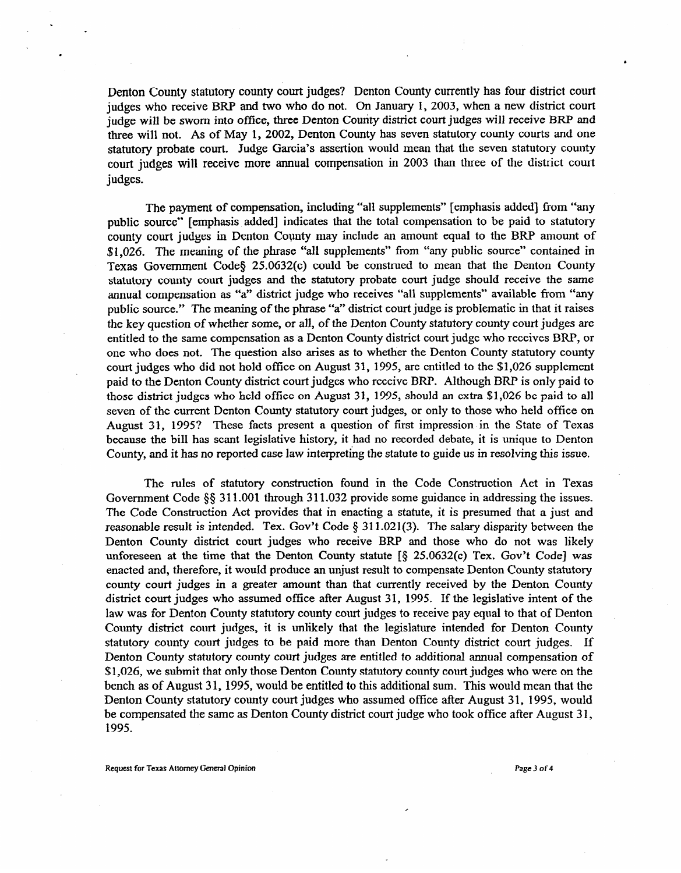Denton County statutory county court judges? Denton County currently has four district court judges who receive BRP and two who do not. On January 1, 2003, when a new district court judge will be sworn into office, three Denton Courity district court judges will receive BRP and three will not. As of May 1, 2002, Denton County has seven statutory county courts and one statutory probate court. Judge Garcia's assertion would mean that the seven statutory county court judges will receive more annual compensation in 2003 than three of the district court judges.

The payment of compensation, including "all supplements" [emphasis added] from "any public source" [emphasis added] indicates that the total compensation to be paid to statutory county court judges in Denton County may include an amount equal to the BRP amount of \$1,026. The meaning of the phrase "all supplements" from "any public source" contained in Texas Government Codes 250632(c) could be construed to mean that the Denton County statutory county court judges and the statutory probate court judge should receive the same annual compensation as "a" district judge who receives "all supplements" available from "any public source." The meaning of the phrase "a" district court judge is problematic in that it raises the key question of whether some, or all, of the Denton County statutory county court judges are entitled to the same compensation as a Denton County district court judge who receives BRP, or one who does not. The question also arises as to whether the Denton County statutory county court judges who did not hold office on August 31, 1995, are entitled to the \$1,026 supplement paid to the Denton County district court judges who receive BRP. Although BRP is only paid to those district judges who held office on August 31, 1995, should an extra \$1,026 be paid to all seven of the current Denton County statutory court judges, or only to those who held office on August 31, 1995? These facts present a question of first impression in the State of Texas because the bill has scant legislative history, it had no recorded debate, it is unique to Denton County, and it has no reported case law interpreting the statute to guide us in resolving this issue.

The rules of statutory construction found in the Code Construction Act in Texas Government Code §§ 311.001 through 311.032 provide some guidance in addressing the issues. The Code Construction Act provides that in enacting a statute, it is presumed that a just and reasonable result is intended. Tex. Gov't Code  $\S$  311.021(3). The salary disparity between the Denton County district court judges who receive BRP and those who do not was likely unforeseen at the time that the Denton County statute  $\lceil \xi \rceil 25.0632(c)$  Tex. Gov't Code] was enacted and, therefore, it would produce an unjust result to compensate Denton County statutory county court judges in a greater amount than that currently received by the Denton County district court judges who assumed office after August 31, 1995. If the legislative intent of the law was for Denton County statutory county court judges to receive pay equal to that of Denton County district court judges, it is unlikely that the legislature intended for Denton County statutory county court judges to be paid more than Denton County district court judges. If Denton County statutory county court judges are entitled to additional annual compensation of \$1,026, we submit that only those Denton County statutory county court judges who were on the bench as of August 31, 1995, would be entitled to this additional sum. This would mean that the Denton County statutory county court judges who assumed office after August 31, 1995, would be compensated the same as Denton County district court judge who took office after August 31, 1995.

Request for Texas Attorney General Opinion **P3ge 3 of 4 P3ge 3 of 4 P3ge 3 of 4**